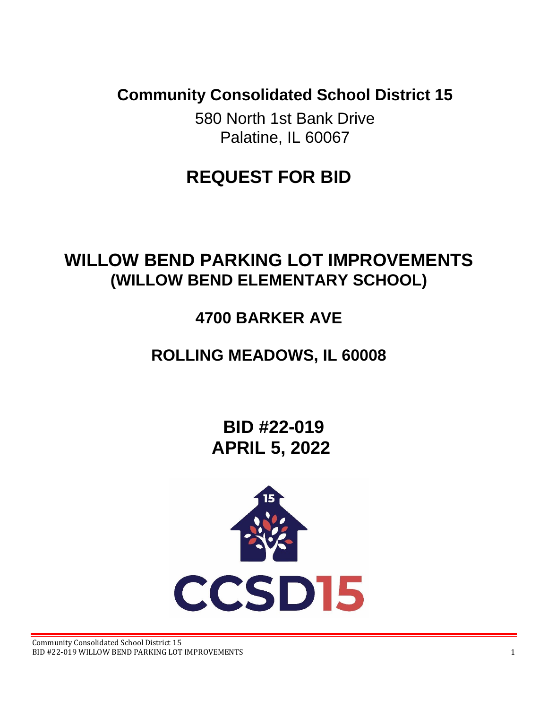**Community Consolidated School District 15**

580 North 1st Bank Drive Palatine, IL 60067

# **REQUEST FOR BID**

# **WILLOW BEND PARKING LOT IMPROVEMENTS (WILLOW BEND ELEMENTARY SCHOOL)**

# **4700 BARKER AVE**

# **ROLLING MEADOWS, IL 60008**

**BID #22-019 APRIL 5, 2022**

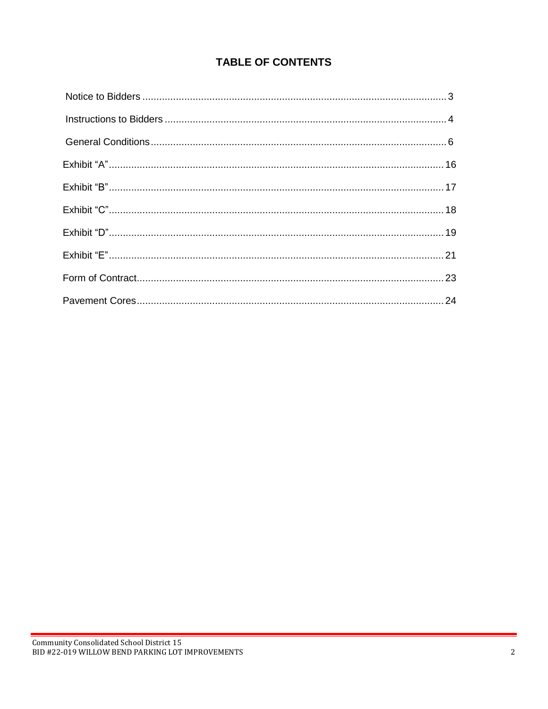# **TABLE OF CONTENTS**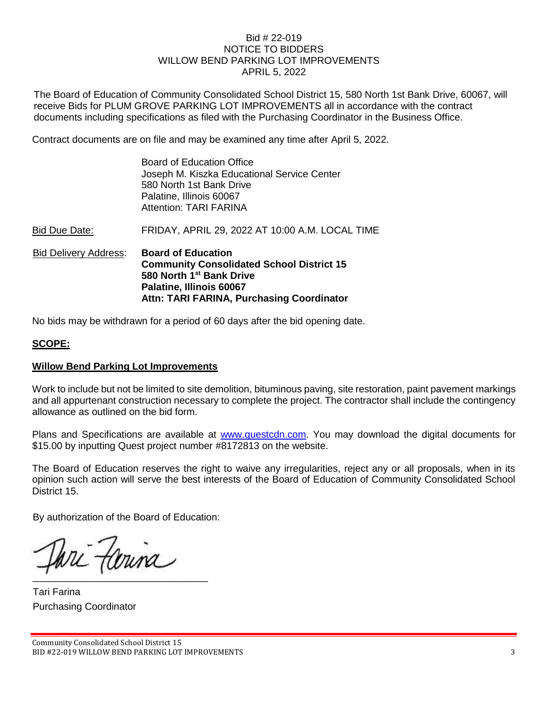### Bid # 22-019 NOTICE TO BIDDERS WILLOW BEND PARKING LOT IMPROVEMENTS APRIL 5, 2022

The Board of Education of Community Consolidated School District 15, 580 North 1st Bank Drive, 60067, will receive Bids for PLUM GROVE PARKING LOT IMPROVEMENTS all in accordance with the contract documents including specifications as filed with the Purchasing Coordinator in the Business Office.

Contract documents are on file and may be examined any time after April 5, 2022.

| <b>Bid Delivery Address:</b> | <b>Board of Education</b><br><b>Community Consolidated School District 15</b><br>580 North 1 <sup>st</sup> Bank Drive<br>Palatine, Illinois 60067<br>Attn: TARI FARINA, Purchasing Coordinator |
|------------------------------|------------------------------------------------------------------------------------------------------------------------------------------------------------------------------------------------|
| Bid Due Date:                | FRIDAY, APRIL 29, 2022 AT 10:00 A.M. LOCAL TIME                                                                                                                                                |
|                              | <b>Board of Education Office</b><br>Joseph M. Kiszka Educational Service Center<br>580 North 1st Bank Drive<br>Palatine, Illinois 60067<br><b>Attention: TARI FARINA</b>                       |

No bids may be withdrawn for a period of 60 days after the bid opening date.

## **SCOPE:**

#### **Willow Bend Parking Lot Improvements**

Work to include but not be limited to site demolition, bituminous paving, site restoration, paint pavement markings and all appurtenant construction necessary to complete the project. The contractor shall include the contingency allowance as outlined on the bid form.

Plans and Specifications are available at [www.questcdn.com.](http://www.questcdn.com/) You may download the digital documents for \$15.00 by inputting Quest project number #8172813 on the website.

The Board of Education reserves the right to waive any irregularities, reject any or all proposals, when in its opinion such action will serve the best interests of the Board of Education of Community Consolidated School District 15.

By authorization of the Board of Education:

ari fariña  $\mathcal{M}$  and  $\mathcal{M}$  are the set of the set of the set of the set of the set of the set of the set of the set of the set of the set of the set of the set of the set of the set of the set of the set of the set of the set

Tari Farina Purchasing Coordinator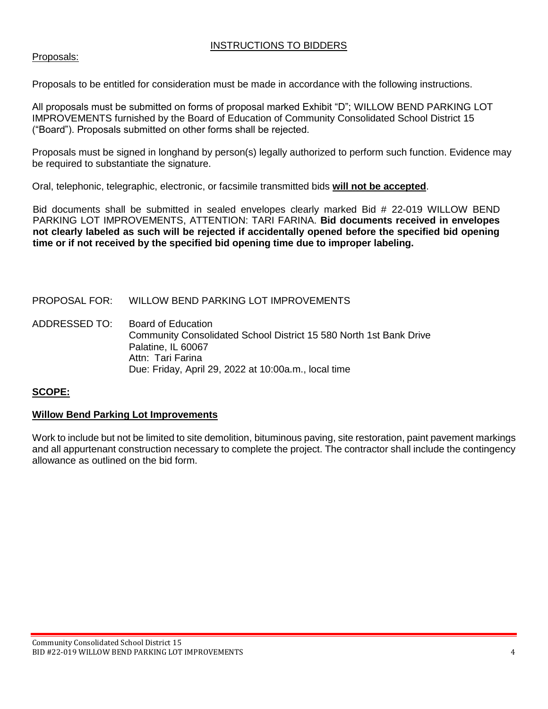## INSTRUCTIONS TO BIDDERS

## Proposals:

Proposals to be entitled for consideration must be made in accordance with the following instructions.

All proposals must be submitted on forms of proposal marked Exhibit "D"; WILLOW BEND PARKING LOT IMPROVEMENTS furnished by the Board of Education of Community Consolidated School District 15 ("Board"). Proposals submitted on other forms shall be rejected.

Proposals must be signed in longhand by person(s) legally authorized to perform such function. Evidence may be required to substantiate the signature.

Oral, telephonic, telegraphic, electronic, or facsimile transmitted bids **will not be accepted**.

Bid documents shall be submitted in sealed envelopes clearly marked Bid # 22-019 WILLOW BEND PARKING LOT IMPROVEMENTS, ATTENTION: TARI FARINA. **Bid documents received in envelopes not clearly labeled as such will be rejected if accidentally opened before the specified bid opening time or if not received by the specified bid opening time due to improper labeling.**

PROPOSAL FOR: WILLOW BEND PARKING LOT IMPROVEMENTS

ADDRESSED TO: Board of Education Community Consolidated School District 15 580 North 1st Bank Drive Palatine, IL 60067 Attn: Tari Farina Due: Friday, April 29, 2022 at 10:00a.m., local time

## **SCOPE:**

#### **Willow Bend Parking Lot Improvements**

Work to include but not be limited to site demolition, bituminous paving, site restoration, paint pavement markings and all appurtenant construction necessary to complete the project. The contractor shall include the contingency allowance as outlined on the bid form.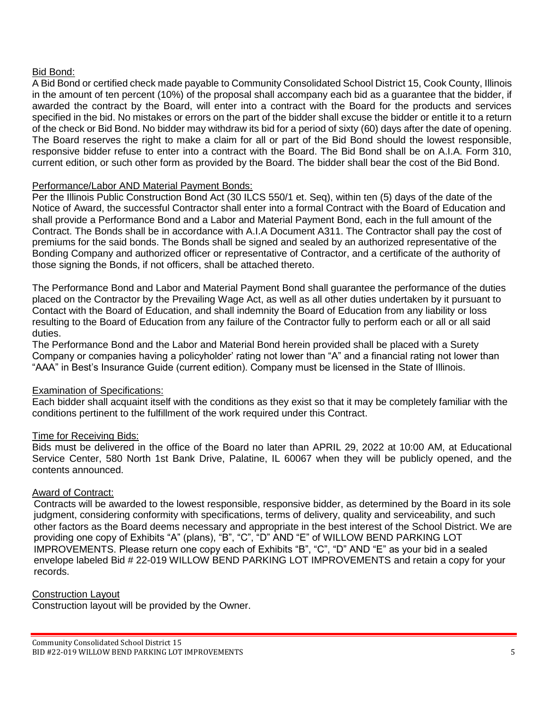## Bid Bond:

A Bid Bond or certified check made payable to Community Consolidated School District 15, Cook County, Illinois in the amount of ten percent (10%) of the proposal shall accompany each bid as a guarantee that the bidder, if awarded the contract by the Board, will enter into a contract with the Board for the products and services specified in the bid. No mistakes or errors on the part of the bidder shall excuse the bidder or entitle it to a return of the check or Bid Bond. No bidder may withdraw its bid for a period of sixty (60) days after the date of opening. The Board reserves the right to make a claim for all or part of the Bid Bond should the lowest responsible, responsive bidder refuse to enter into a contract with the Board. The Bid Bond shall be on A.I.A. Form 310, current edition, or such other form as provided by the Board. The bidder shall bear the cost of the Bid Bond.

## Performance/Labor AND Material Payment Bonds:

Per the Illinois Public Construction Bond Act (30 ILCS 550/1 et. Seq), within ten (5) days of the date of the Notice of Award, the successful Contractor shall enter into a formal Contract with the Board of Education and shall provide a Performance Bond and a Labor and Material Payment Bond, each in the full amount of the Contract. The Bonds shall be in accordance with A.I.A Document A311. The Contractor shall pay the cost of premiums for the said bonds. The Bonds shall be signed and sealed by an authorized representative of the Bonding Company and authorized officer or representative of Contractor, and a certificate of the authority of those signing the Bonds, if not officers, shall be attached thereto.

The Performance Bond and Labor and Material Payment Bond shall guarantee the performance of the duties placed on the Contractor by the Prevailing Wage Act, as well as all other duties undertaken by it pursuant to Contact with the Board of Education, and shall indemnity the Board of Education from any liability or loss resulting to the Board of Education from any failure of the Contractor fully to perform each or all or all said duties.

The Performance Bond and the Labor and Material Bond herein provided shall be placed with a Surety Company or companies having a policyholder' rating not lower than "A" and a financial rating not lower than "AAA" in Best's Insurance Guide (current edition). Company must be licensed in the State of Illinois.

## Examination of Specifications:

Each bidder shall acquaint itself with the conditions as they exist so that it may be completely familiar with the conditions pertinent to the fulfillment of the work required under this Contract.

## Time for Receiving Bids:

Bids must be delivered in the office of the Board no later than APRIL 29, 2022 at 10:00 AM, at Educational Service Center, 580 North 1st Bank Drive, Palatine, IL 60067 when they will be publicly opened, and the contents announced.

#### Award of Contract:

Contracts will be awarded to the lowest responsible, responsive bidder, as determined by the Board in its sole judgment, considering conformity with specifications, terms of delivery, quality and serviceability, and such other factors as the Board deems necessary and appropriate in the best interest of the School District. We are providing one copy of Exhibits "A" (plans), "B", "C", "D" AND "E" of WILLOW BEND PARKING LOT IMPROVEMENTS. Please return one copy each of Exhibits "B", "C", "D" AND "E" as your bid in a sealed envelope labeled Bid # 22-019 WILLOW BEND PARKING LOT IMPROVEMENTS and retain a copy for your records.

#### Construction Layout

Construction layout will be provided by the Owner.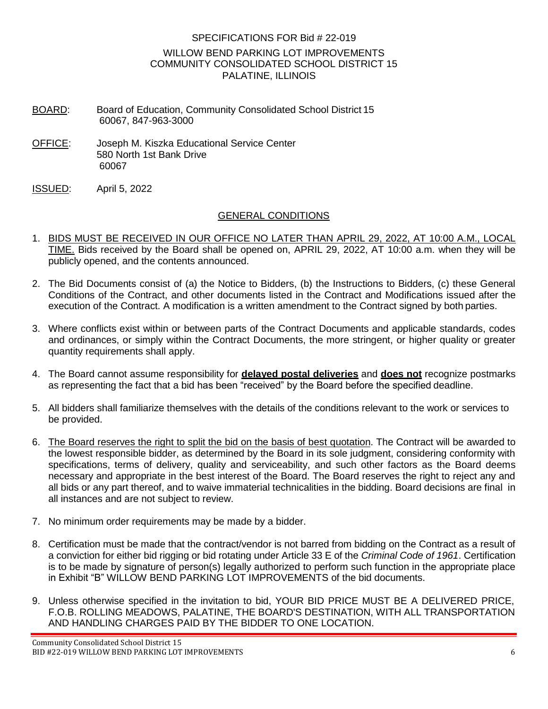## SPECIFICATIONS FOR Bid # 22-019 WILLOW BEND PARKING LOT IMPROVEMENTS COMMUNITY CONSOLIDATED SCHOOL DISTRICT 15 PALATINE, ILLINOIS

- BOARD: Board of Education, Community Consolidated School District 15 60067, 847-963-3000
- OFFICE: Joseph M. Kiszka Educational Service Center 580 North 1st Bank Drive 60067
- ISSUED: April 5, 2022

## GENERAL CONDITIONS

- 1. BIDS MUST BE RECEIVED IN OUR OFFICE NO LATER THAN APRIL 29, 2022, AT 10:00 A.M., LOCAL TIME. Bids received by the Board shall be opened on, APRIL 29, 2022, AT 10:00 a.m. when they will be publicly opened, and the contents announced.
- 2. The Bid Documents consist of (a) the Notice to Bidders, (b) the Instructions to Bidders, (c) these General Conditions of the Contract, and other documents listed in the Contract and Modifications issued after the execution of the Contract. A modification is a written amendment to the Contract signed by both parties.
- 3. Where conflicts exist within or between parts of the Contract Documents and applicable standards, codes and ordinances, or simply within the Contract Documents, the more stringent, or higher quality or greater quantity requirements shall apply.
- 4. The Board cannot assume responsibility for **delayed postal deliveries** and **does not** recognize postmarks as representing the fact that a bid has been "received" by the Board before the specified deadline.
- 5. All bidders shall familiarize themselves with the details of the conditions relevant to the work or services to be provided.
- 6. The Board reserves the right to split the bid on the basis of best quotation. The Contract will be awarded to the lowest responsible bidder, as determined by the Board in its sole judgment, considering conformity with specifications, terms of delivery, quality and serviceability, and such other factors as the Board deems necessary and appropriate in the best interest of the Board. The Board reserves the right to reject any and all bids or any part thereof, and to waive immaterial technicalities in the bidding. Board decisions are final in all instances and are not subject to review.
- 7. No minimum order requirements may be made by a bidder.
- 8. Certification must be made that the contract/vendor is not barred from bidding on the Contract as a result of a conviction for either bid rigging or bid rotating under Article 33 E of the *Criminal Code of 1961*. Certification is to be made by signature of person(s) legally authorized to perform such function in the appropriate place in Exhibit "B" WILLOW BEND PARKING LOT IMPROVEMENTS of the bid documents.
- 9. Unless otherwise specified in the invitation to bid, YOUR BID PRICE MUST BE A DELIVERED PRICE, F.O.B. ROLLING MEADOWS, PALATINE, THE BOARD'S DESTINATION, WITH ALL TRANSPORTATION AND HANDLING CHARGES PAID BY THE BIDDER TO ONE LOCATION.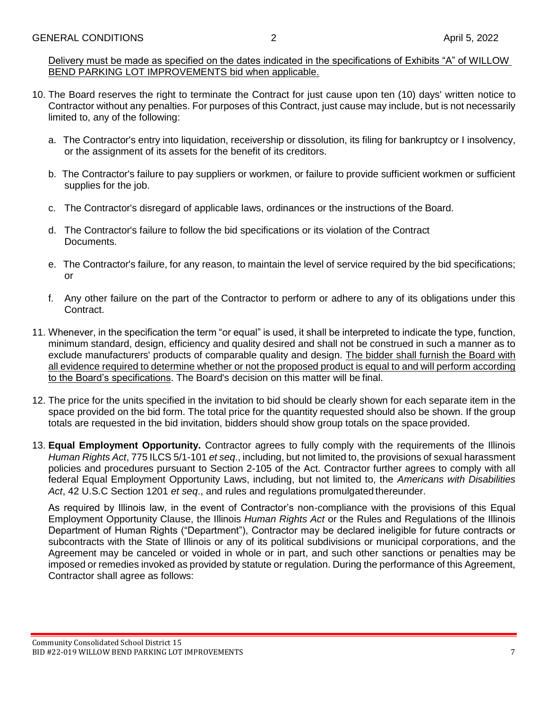Delivery must be made as specified on the dates indicated in the specifications of Exhibits "A" of WILLOW BEND PARKING LOT IMPROVEMENTS bid when applicable.

- 10. The Board reserves the right to terminate the Contract for just cause upon ten (10) days' written notice to Contractor without any penalties. For purposes of this Contract, just cause may include, but is not necessarily limited to, any of the following:
	- a. The Contractor's entry into liquidation, receivership or dissolution, its filing for bankruptcy or I insolvency, or the assignment of its assets for the benefit of its creditors.
	- b. The Contractor's failure to pay suppliers or workmen, or failure to provide sufficient workmen or sufficient supplies for the job.
	- c. The Contractor's disregard of applicable laws, ordinances or the instructions of the Board.
	- d. The Contractor's failure to follow the bid specifications or its violation of the Contract Documents.
	- e. The Contractor's failure, for any reason, to maintain the level of service required by the bid specifications; or
	- f. Any other failure on the part of the Contractor to perform or adhere to any of its obligations under this Contract.
- 11. Whenever, in the specification the term "or equal" is used, it shall be interpreted to indicate the type, function, minimum standard, design, efficiency and quality desired and shall not be construed in such a manner as to exclude manufacturers' products of comparable quality and design. The bidder shall furnish the Board with all evidence required to determine whether or not the proposed product is equal to and will perform according to the Board's specifications. The Board's decision on this matter will be final.
- 12. The price for the units specified in the invitation to bid should be clearly shown for each separate item in the space provided on the bid form. The total price for the quantity requested should also be shown. If the group totals are requested in the bid invitation, bidders should show group totals on the space provided.
- 13. **Equal Employment Opportunity.** Contractor agrees to fully comply with the requirements of the Illinois *Human Rights Act*, 775 ILCS 5/1-101 *et seq*., including, but not limited to, the provisions of sexual harassment policies and procedures pursuant to Section 2-105 of the Act. Contractor further agrees to comply with all federal Equal Employment Opportunity Laws, including, but not limited to, the *Americans with Disabilities Act*, 42 U.S.C Section 1201 *et seq*., and rules and regulations promulgated thereunder.

As required by Illinois law, in the event of Contractor's non-compliance with the provisions of this Equal Employment Opportunity Clause, the Illinois *Human Rights Act* or the Rules and Regulations of the Illinois Department of Human Rights ("Department"), Contractor may be declared ineligible for future contracts or subcontracts with the State of Illinois or any of its political subdivisions or municipal corporations, and the Agreement may be canceled or voided in whole or in part, and such other sanctions or penalties may be imposed or remedies invoked as provided by statute or regulation. During the performance of this Agreement, Contractor shall agree as follows: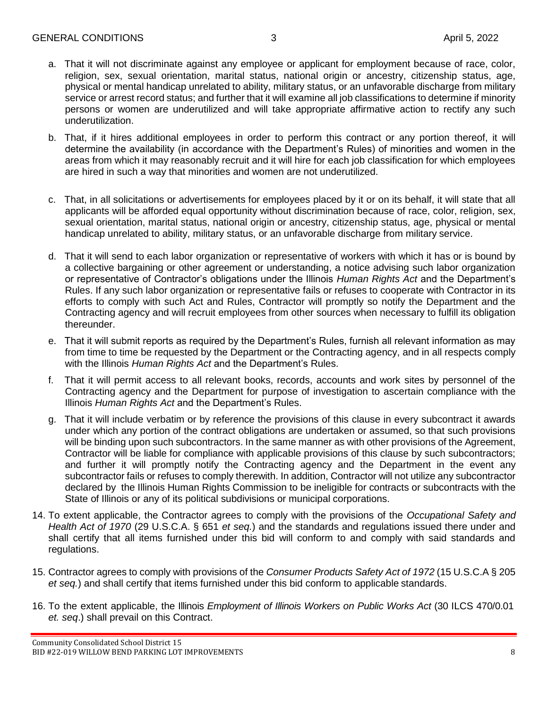- a. That it will not discriminate against any employee or applicant for employment because of race, color, religion, sex, sexual orientation, marital status, national origin or ancestry, citizenship status, age, physical or mental handicap unrelated to ability, military status, or an unfavorable discharge from military service or arrest record status; and further that it will examine all job classifications to determine if minority persons or women are underutilized and will take appropriate affirmative action to rectify any such underutilization.
- b. That, if it hires additional employees in order to perform this contract or any portion thereof, it will determine the availability (in accordance with the Department's Rules) of minorities and women in the areas from which it may reasonably recruit and it will hire for each job classification for which employees are hired in such a way that minorities and women are not underutilized.
- c. That, in all solicitations or advertisements for employees placed by it or on its behalf, it will state that all applicants will be afforded equal opportunity without discrimination because of race, color, religion, sex, sexual orientation, marital status, national origin or ancestry, citizenship status, age, physical or mental handicap unrelated to ability, military status, or an unfavorable discharge from military service.
- d. That it will send to each labor organization or representative of workers with which it has or is bound by a collective bargaining or other agreement or understanding, a notice advising such labor organization or representative of Contractor's obligations under the Illinois *Human Rights Act* and the Department's Rules. If any such labor organization or representative fails or refuses to cooperate with Contractor in its efforts to comply with such Act and Rules, Contractor will promptly so notify the Department and the Contracting agency and will recruit employees from other sources when necessary to fulfill its obligation thereunder.
- e. That it will submit reports as required by the Department's Rules, furnish all relevant information as may from time to time be requested by the Department or the Contracting agency, and in all respects comply with the Illinois *Human Rights Act* and the Department's Rules.
- f. That it will permit access to all relevant books, records, accounts and work sites by personnel of the Contracting agency and the Department for purpose of investigation to ascertain compliance with the Illinois *Human Rights Act* and the Department's Rules.
- g. That it will include verbatim or by reference the provisions of this clause in every subcontract it awards under which any portion of the contract obligations are undertaken or assumed, so that such provisions will be binding upon such subcontractors. In the same manner as with other provisions of the Agreement, Contractor will be liable for compliance with applicable provisions of this clause by such subcontractors; and further it will promptly notify the Contracting agency and the Department in the event any subcontractor fails or refuses to comply therewith. In addition, Contractor will not utilize any subcontractor declared by the Illinois Human Rights Commission to be ineligible for contracts or subcontracts with the State of Illinois or any of its political subdivisions or municipal corporations.
- 14. To extent applicable, the Contractor agrees to comply with the provisions of the *Occupational Safety and Health Act of 1970* (29 U.S.C.A. § 651 *et seq.*) and the standards and regulations issued there under and shall certify that all items furnished under this bid will conform to and comply with said standards and regulations.
- 15. Contractor agrees to comply with provisions of the *Consumer Products Safety Act of 1972* (15 U.S.C.A § 205 *et seq.*) and shall certify that items furnished under this bid conform to applicable standards.
- 16. To the extent applicable, the Illinois *Employment of Illinois Workers on Public Works Act* (30 ILCS 470/0.01 *et. seq*.) shall prevail on this Contract.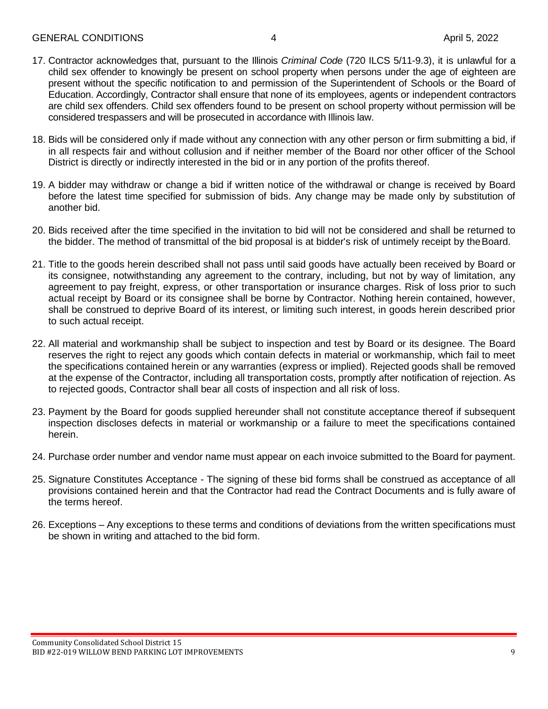- 17. Contractor acknowledges that, pursuant to the Illinois *Criminal Code* (720 ILCS 5/11-9.3), it is unlawful for a child sex offender to knowingly be present on school property when persons under the age of eighteen are present without the specific notification to and permission of the Superintendent of Schools or the Board of Education. Accordingly, Contractor shall ensure that none of its employees, agents or independent contractors are child sex offenders. Child sex offenders found to be present on school property without permission will be considered trespassers and will be prosecuted in accordance with Illinois law.
- 18. Bids will be considered only if made without any connection with any other person or firm submitting a bid, if in all respects fair and without collusion and if neither member of the Board nor other officer of the School District is directly or indirectly interested in the bid or in any portion of the profits thereof.
- 19. A bidder may withdraw or change a bid if written notice of the withdrawal or change is received by Board before the latest time specified for submission of bids. Any change may be made only by substitution of another bid.
- 20. Bids received after the time specified in the invitation to bid will not be considered and shall be returned to the bidder. The method of transmittal of the bid proposal is at bidder's risk of untimely receipt by theBoard.
- 21. Title to the goods herein described shall not pass until said goods have actually been received by Board or its consignee, notwithstanding any agreement to the contrary, including, but not by way of limitation, any agreement to pay freight, express, or other transportation or insurance charges. Risk of loss prior to such actual receipt by Board or its consignee shall be borne by Contractor. Nothing herein contained, however, shall be construed to deprive Board of its interest, or limiting such interest, in goods herein described prior to such actual receipt.
- 22. All material and workmanship shall be subject to inspection and test by Board or its designee. The Board reserves the right to reject any goods which contain defects in material or workmanship, which fail to meet the specifications contained herein or any warranties (express or implied). Rejected goods shall be removed at the expense of the Contractor, including all transportation costs, promptly after notification of rejection. As to rejected goods, Contractor shall bear all costs of inspection and all risk of loss.
- 23. Payment by the Board for goods supplied hereunder shall not constitute acceptance thereof if subsequent inspection discloses defects in material or workmanship or a failure to meet the specifications contained herein.
- 24. Purchase order number and vendor name must appear on each invoice submitted to the Board for payment.
- 25. Signature Constitutes Acceptance The signing of these bid forms shall be construed as acceptance of all provisions contained herein and that the Contractor had read the Contract Documents and is fully aware of the terms hereof.
- 26. Exceptions Any exceptions to these terms and conditions of deviations from the written specifications must be shown in writing and attached to the bid form.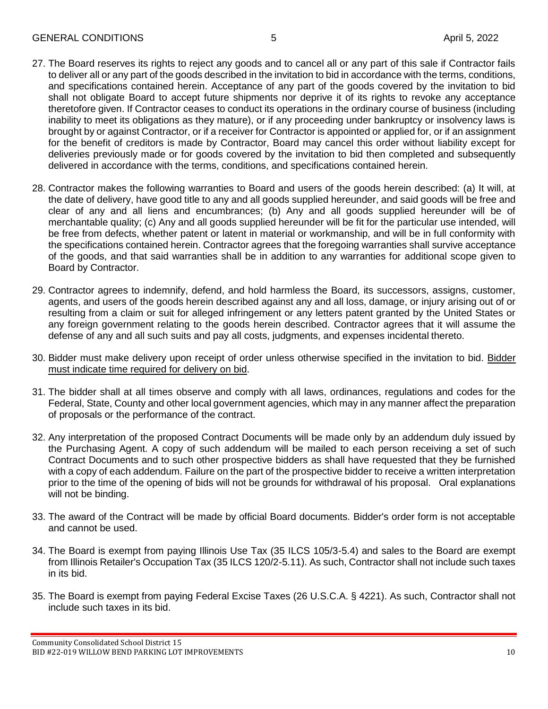- 27. The Board reserves its rights to reject any goods and to cancel all or any part of this sale if Contractor fails to deliver all or any part of the goods described in the invitation to bid in accordance with the terms, conditions, and specifications contained herein. Acceptance of any part of the goods covered by the invitation to bid shall not obligate Board to accept future shipments nor deprive it of its rights to revoke any acceptance theretofore given. If Contractor ceases to conduct its operations in the ordinary course of business (including inability to meet its obligations as they mature), or if any proceeding under bankruptcy or insolvency laws is brought by or against Contractor, or if a receiver for Contractor is appointed or applied for, or if an assignment for the benefit of creditors is made by Contractor, Board may cancel this order without liability except for deliveries previously made or for goods covered by the invitation to bid then completed and subsequently delivered in accordance with the terms, conditions, and specifications contained herein.
- 28. Contractor makes the following warranties to Board and users of the goods herein described: (a) It will, at the date of delivery, have good title to any and all goods supplied hereunder, and said goods will be free and clear of any and all liens and encumbrances; (b) Any and all goods supplied hereunder will be of merchantable quality; (c) Any and all goods supplied hereunder will be fit for the particular use intended, will be free from defects, whether patent or latent in material or workmanship, and will be in full conformity with the specifications contained herein. Contractor agrees that the foregoing warranties shall survive acceptance of the goods, and that said warranties shall be in addition to any warranties for additional scope given to Board by Contractor.
- 29. Contractor agrees to indemnify, defend, and hold harmless the Board, its successors, assigns, customer, agents, and users of the goods herein described against any and all loss, damage, or injury arising out of or resulting from a claim or suit for alleged infringement or any letters patent granted by the United States or any foreign government relating to the goods herein described. Contractor agrees that it will assume the defense of any and all such suits and pay all costs, judgments, and expenses incidental thereto.
- 30. Bidder must make delivery upon receipt of order unless otherwise specified in the invitation to bid. Bidder must indicate time required for delivery on bid.
- 31. The bidder shall at all times observe and comply with all laws, ordinances, regulations and codes for the Federal, State, County and other local government agencies, which may in any manner affect the preparation of proposals or the performance of the contract.
- 32. Any interpretation of the proposed Contract Documents will be made only by an addendum duly issued by the Purchasing Agent. A copy of such addendum will be mailed to each person receiving a set of such Contract Documents and to such other prospective bidders as shall have requested that they be furnished with a copy of each addendum. Failure on the part of the prospective bidder to receive a written interpretation prior to the time of the opening of bids will not be grounds for withdrawal of his proposal. Oral explanations will not be binding.
- 33. The award of the Contract will be made by official Board documents. Bidder's order form is not acceptable and cannot be used.
- 34. The Board is exempt from paying Illinois Use Tax (35 ILCS 105/3-5.4) and sales to the Board are exempt from Illinois Retailer's Occupation Tax (35 ILCS 120/2-5.11). As such, Contractor shall not include such taxes in its bid.
- 35. The Board is exempt from paying Federal Excise Taxes (26 U.S.C.A. § 4221). As such, Contractor shall not include such taxes in its bid.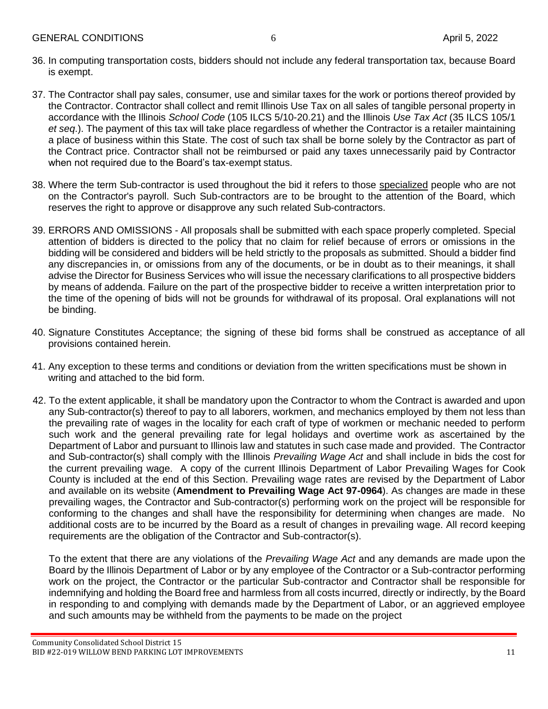- 36. In computing transportation costs, bidders should not include any federal transportation tax, because Board is exempt.
- 37. The Contractor shall pay sales, consumer, use and similar taxes for the work or portions thereof provided by the Contractor. Contractor shall collect and remit Illinois Use Tax on all sales of tangible personal property in accordance with the Illinois *School Code* (105 ILCS 5/10-20.21) and the Illinois *Use Tax Act* (35 ILCS 105/1 *et seq*.). The payment of this tax will take place regardless of whether the Contractor is a retailer maintaining a place of business within this State. The cost of such tax shall be borne solely by the Contractor as part of the Contract price. Contractor shall not be reimbursed or paid any taxes unnecessarily paid by Contractor when not required due to the Board's tax-exempt status.
- 38. Where the term Sub-contractor is used throughout the bid it refers to those specialized people who are not on the Contractor's payroll. Such Sub-contractors are to be brought to the attention of the Board, which reserves the right to approve or disapprove any such related Sub-contractors.
- 39. ERRORS AND OMISSIONS All proposals shall be submitted with each space properly completed. Special attention of bidders is directed to the policy that no claim for relief because of errors or omissions in the bidding will be considered and bidders will be held strictly to the proposals as submitted. Should a bidder find any discrepancies in, or omissions from any of the documents, or be in doubt as to their meanings, it shall advise the Director for Business Services who will issue the necessary clarifications to all prospective bidders by means of addenda. Failure on the part of the prospective bidder to receive a written interpretation prior to the time of the opening of bids will not be grounds for withdrawal of its proposal. Oral explanations will not be binding.
- 40. Signature Constitutes Acceptance; the signing of these bid forms shall be construed as acceptance of all provisions contained herein.
- 41. Any exception to these terms and conditions or deviation from the written specifications must be shown in writing and attached to the bid form.
- 42. To the extent applicable, it shall be mandatory upon the Contractor to whom the Contract is awarded and upon any Sub-contractor(s) thereof to pay to all laborers, workmen, and mechanics employed by them not less than the prevailing rate of wages in the locality for each craft of type of workmen or mechanic needed to perform such work and the general prevailing rate for legal holidays and overtime work as ascertained by the Department of Labor and pursuant to Illinois law and statutes in such case made and provided. The Contractor and Sub-contractor(s) shall comply with the Illinois *Prevailing Wage Act* and shall include in bids the cost for the current prevailing wage. A copy of the current Illinois Department of Labor Prevailing Wages for Cook County is included at the end of this Section. Prevailing wage rates are revised by the Department of Labor and available on its website (**Amendment to Prevailing Wage Act 97-0964**). As changes are made in these prevailing wages, the Contractor and Sub-contractor(s) performing work on the project will be responsible for conforming to the changes and shall have the responsibility for determining when changes are made. No additional costs are to be incurred by the Board as a result of changes in prevailing wage. All record keeping requirements are the obligation of the Contractor and Sub-contractor(s).

To the extent that there are any violations of the *Prevailing Wage Act* and any demands are made upon the Board by the Illinois Department of Labor or by any employee of the Contractor or a Sub-contractor performing work on the project, the Contractor or the particular Sub-contractor and Contractor shall be responsible for indemnifying and holding the Board free and harmless from all costs incurred, directly or indirectly, by the Board in responding to and complying with demands made by the Department of Labor, or an aggrieved employee and such amounts may be withheld from the payments to be made on the project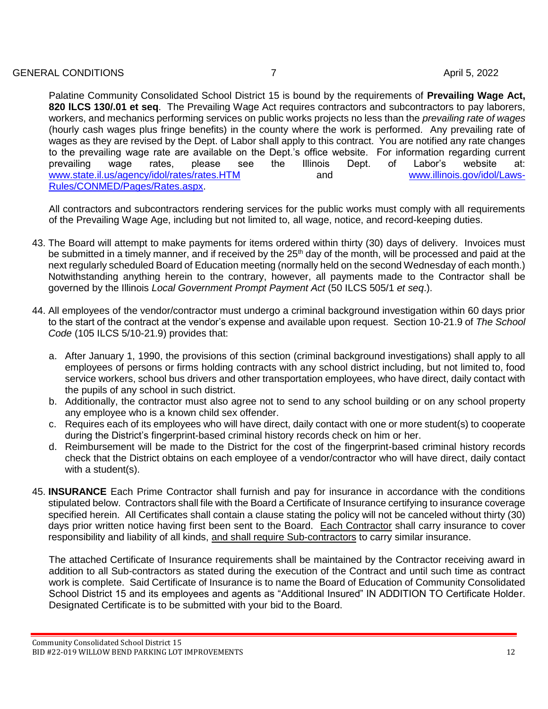## GENERAL CONDITIONS 6-1 April 5, 2022

Palatine Community Consolidated School District 15 is bound by the requirements of **Prevailing Wage Act, 820 lLCS 130/.01 et seq**. The Prevailing Wage Act requires contractors and subcontractors to pay laborers, workers, and mechanics performing services on public works projects no less than the *prevailing rate of wages*  (hourly cash wages plus fringe benefits) in the county where the work is performed. Any prevailing rate of wages as they are revised by the Dept. of Labor shall apply to this contract. You are notified any rate changes to the prevailing wage rate are available on the Dept.'s office website. For information regarding current prevailing wage rates, please see the Illinois Dept. of Labor's website at: [www.state.il.us/agency/idol/rates/rates.HTM](http://www.state.il.us/agency/idol/rates/rates.HTM) and and [www.illinois.gov/idol/Laws-](http://www.illinois.gov/idol/Laws-Rules/CONMED/Pages/Rates.aspx)[Rules/CONMED/Pages/Rates.aspx.](http://www.illinois.gov/idol/Laws-Rules/CONMED/Pages/Rates.aspx)

All contractors and subcontractors rendering services for the public works must comply with all requirements of the Prevailing Wage Age, including but not limited to, all wage, notice, and record-keeping duties.

- 43. The Board will attempt to make payments for items ordered within thirty (30) days of delivery. Invoices must be submitted in a timely manner, and if received by the 25<sup>th</sup> day of the month, will be processed and paid at the next regularly scheduled Board of Education meeting (normally held on the second Wednesday of each month.) Notwithstanding anything herein to the contrary, however, all payments made to the Contractor shall be governed by the Illinois *Local Government Prompt Payment Act* (50 ILCS 505/1 *et seq*.).
- 44. All employees of the vendor/contractor must undergo a criminal background investigation within 60 days prior to the start of the contract at the vendor's expense and available upon request. Section 10-21.9 of *The School Code* (105 ILCS 5/10-21.9) provides that:
	- a. After January 1, 1990, the provisions of this section (criminal background investigations) shall apply to all employees of persons or firms holding contracts with any school district including, but not limited to, food service workers, school bus drivers and other transportation employees, who have direct, daily contact with the pupils of any school in such district.
	- b. Additionally, the contractor must also agree not to send to any school building or on any school property any employee who is a known child sex offender.
	- c. Requires each of its employees who will have direct, daily contact with one or more student(s) to cooperate during the District's fingerprint-based criminal history records check on him or her.
	- d. Reimbursement will be made to the District for the cost of the fingerprint-based criminal history records check that the District obtains on each employee of a vendor/contractor who will have direct, daily contact with a student(s).
- 45. **INSURANCE** Each Prime Contractor shall furnish and pay for insurance in accordance with the conditions stipulated below. Contractors shall file with the Board a Certificate of Insurance certifying to insurance coverage specified herein. All Certificates shall contain a clause stating the policy will not be canceled without thirty (30) days prior written notice having first been sent to the Board. Each Contractor shall carry insurance to cover responsibility and liability of all kinds, and shall require Sub-contractors to carry similar insurance.

The attached Certificate of Insurance requirements shall be maintained by the Contractor receiving award in addition to all Sub-contractors as stated during the execution of the Contract and until such time as contract work is complete. Said Certificate of Insurance is to name the Board of Education of Community Consolidated School District 15 and its employees and agents as "Additional Insured" IN ADDITION TO Certificate Holder. Designated Certificate is to be submitted with your bid to the Board.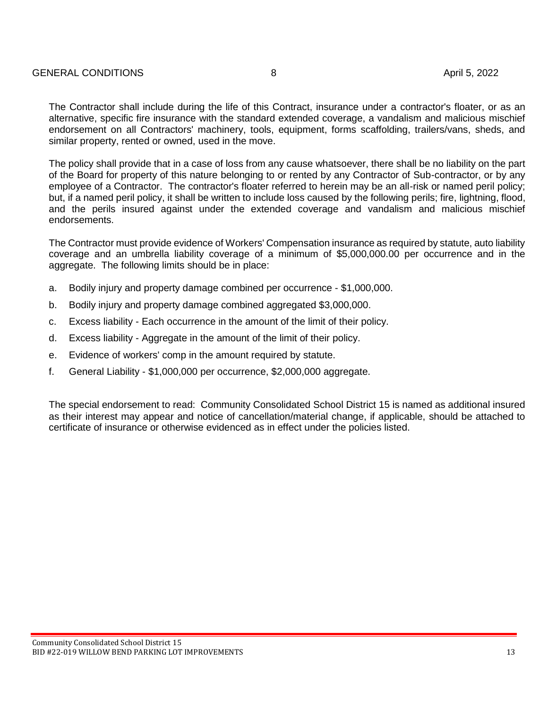The Contractor shall include during the life of this Contract, insurance under a contractor's floater, or as an alternative, specific fire insurance with the standard extended coverage, a vandalism and malicious mischief endorsement on all Contractors' machinery, tools, equipment, forms scaffolding, trailers/vans, sheds, and similar property, rented or owned, used in the move.

The policy shall provide that in a case of loss from any cause whatsoever, there shall be no liability on the part of the Board for property of this nature belonging to or rented by any Contractor of Sub-contractor, or by any employee of a Contractor. The contractor's floater referred to herein may be an all-risk or named peril policy; but, if a named peril policy, it shall be written to include loss caused by the following perils; fire, lightning, flood, and the perils insured against under the extended coverage and vandalism and malicious mischief endorsements.

The Contractor must provide evidence of Workers' Compensation insurance as required by statute, auto liability coverage and an umbrella liability coverage of a minimum of \$5,000,000.00 per occurrence and in the aggregate. The following limits should be in place:

- a. Bodily injury and property damage combined per occurrence \$1,000,000.
- b. Bodily injury and property damage combined aggregated \$3,000,000.
- c. Excess liability Each occurrence in the amount of the limit of their policy.
- d. Excess liability Aggregate in the amount of the limit of their policy.
- e. Evidence of workers' comp in the amount required by statute.
- f. General Liability \$1,000,000 per occurrence, \$2,000,000 aggregate.

The special endorsement to read: Community Consolidated School District 15 is named as additional insured as their interest may appear and notice of cancellation/material change, if applicable, should be attached to certificate of insurance or otherwise evidenced as in effect under the policies listed.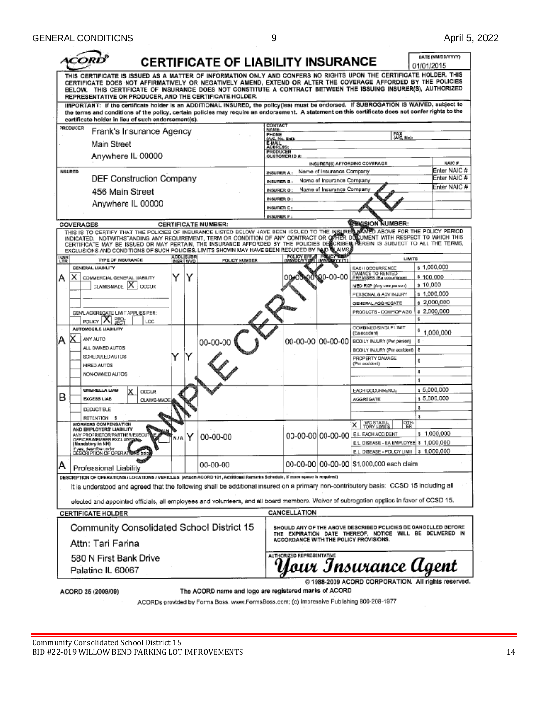| ורז<br><b>CERTIFICATE OF LIABILITY INSURANCE</b>                                                                                                                                                                                                                                                                                                                                                                 |                                                      |                                                        |                                                                                                    |                                                                               | 01/01/2015                 | DATE (MM/DD/YYYY)            |
|------------------------------------------------------------------------------------------------------------------------------------------------------------------------------------------------------------------------------------------------------------------------------------------------------------------------------------------------------------------------------------------------------------------|------------------------------------------------------|--------------------------------------------------------|----------------------------------------------------------------------------------------------------|-------------------------------------------------------------------------------|----------------------------|------------------------------|
| THIS CERTIFICATE IS ISSUED AS A MATTER OF INFORMATION ONLY AND CONFERS NO RIGHTS UPON THE CERTIFICATE HOLDER. THIS<br>CERTIFICATE DOES NOT AFFIRMATIVELY OR NEGATIVELY AMEND, EXTEND OR ALTER THE COVERAGE AFFORDED BY THE POLICIES<br>BELOW. THIS CERTIFICATE OF INSURANCE DOES NOT CONSTITUTE A CONTRACT BETWEEN THE ISSUING INSURER(S), AUTHORIZED<br>REPRESENTATIVE OR PRODUCER, AND THE CERTIFICATE HOLDER. |                                                      |                                                        |                                                                                                    |                                                                               |                            |                              |
| IMPORTANT: If the certificate holder is an ADDITIONAL INSURED, the policy(ies) must be endorsed. If SUBROGATION IS WAIVED, subject to<br>the terms and conditions of the policy, certain policies may require an endorsement. A statement on this certificate does not confer rights to the<br>certificate holder in lieu of such endorsement(s).                                                                |                                                      |                                                        |                                                                                                    |                                                                               |                            |                              |
| PRODUCER<br>Frank's Insurance Agency                                                                                                                                                                                                                                                                                                                                                                             | CONTACT<br>NAME:                                     |                                                        |                                                                                                    |                                                                               |                            |                              |
| Main Street                                                                                                                                                                                                                                                                                                                                                                                                      |                                                      | PHONE<br>FAX<br>(AC, Ne):<br>(A/C, No. Ext);<br>E-MAIL |                                                                                                    |                                                                               |                            |                              |
| Anywhere IL 00000                                                                                                                                                                                                                                                                                                                                                                                                | ADDRESS:<br><b>PRODUCER</b><br><b>CUSTOMER ID #:</b> |                                                        |                                                                                                    |                                                                               |                            |                              |
|                                                                                                                                                                                                                                                                                                                                                                                                                  |                                                      |                                                        |                                                                                                    | INSURER(S) AFFORDING COVERAGE                                                 |                            | NAIC#                        |
| <b>INSURED</b><br>DEF Construction Company                                                                                                                                                                                                                                                                                                                                                                       | <b>INSURER A:</b>                                    |                                                        | Name of Insurance Company                                                                          |                                                                               |                            | Enter NAIC #<br>Enter NAIC # |
|                                                                                                                                                                                                                                                                                                                                                                                                                  | INSURER B :<br>INSURER C:                            |                                                        | Name of Insurance Company<br>Name of Insurance Company                                             |                                                                               |                            | Enter NAIC #                 |
| 456 Main Street                                                                                                                                                                                                                                                                                                                                                                                                  | INSURER D:                                           |                                                        |                                                                                                    |                                                                               |                            |                              |
| Anywhere IL 00000                                                                                                                                                                                                                                                                                                                                                                                                | INSURER E:                                           |                                                        |                                                                                                    |                                                                               |                            |                              |
|                                                                                                                                                                                                                                                                                                                                                                                                                  | INSURER F:                                           |                                                        |                                                                                                    | <b><i>REMISION NUMBER:</i></b>                                                |                            |                              |
| <b>CERTIFICATE NUMBER:</b><br>COVERAGES<br>THIS IS TO CERTIFY THAT THE POLICIES OF INSURANCE LISTED BELOW HAVE BEEN ISSUED TO THE INSURED WANTED ABOVE FOR THE POLICY PERIOD                                                                                                                                                                                                                                     |                                                      |                                                        |                                                                                                    |                                                                               |                            |                              |
| INDICATED. NOTWITHSTANDING ANY REQUIREMENT, TERM OR CONDITION OF ANY CONTRACT OR OFFIER DOWUMENT WITH RESPECT TO WHICH THIS<br>CERTIFICATE MAY BE ISSUED OR MAY PERTAIN, THE INSURANCE AFFORDED BY THE POLICIES DESCRIBED REREIN IS SUBJECT TO ALL THE TERMS,<br>EXCLUSIONS AND CONDITIONS OF SUCH POLICIES, LIMITS SHOWN MAY HAVE BEEN REDUCED BY RAID WANNS                                                    |                                                      |                                                        |                                                                                                    |                                                                               |                            |                              |
| <b>ADDLISUBR</b><br><b>IMSR</b><br>LTR<br>TYPE OF INSURANCE<br>INSR WVD                                                                                                                                                                                                                                                                                                                                          | POLICY NUMBER                                        | <b>POLICY EFF,</b>                                     | <b>INMURRYYYYY)</b>                                                                                | <b>LIMITS</b>                                                                 |                            |                              |
| GENERAL LIABILITY                                                                                                                                                                                                                                                                                                                                                                                                |                                                      |                                                        |                                                                                                    | EACH OCCURRENCE<br>DAMAGE TO RENTED<br>PREMISES (Ea coountinos)               | s 1,000,000                |                              |
| Y<br>Y<br>х<br>А<br>COMMERCIAL GENERAL LIABILITY<br>CLAIMS-MADE X<br><b>OCCUR</b>                                                                                                                                                                                                                                                                                                                                |                                                      |                                                        | 10-00-00                                                                                           | MED EXP (Any one person)                                                      | \$100,000<br>\$10,000      |                              |
|                                                                                                                                                                                                                                                                                                                                                                                                                  |                                                      |                                                        |                                                                                                    | PERSONAL & ADV INJURY                                                         | \$1,000,000                |                              |
|                                                                                                                                                                                                                                                                                                                                                                                                                  |                                                      |                                                        |                                                                                                    | GENERAL AGGREGATE                                                             | \$2,000,000                |                              |
| GEN'L AGGREGATE LIMIT APPLIES PER:<br>PRO                                                                                                                                                                                                                                                                                                                                                                        |                                                      |                                                        |                                                                                                    | PRODUCTS - COMP/OP AGG                                                        | s 2,000,000<br>s           |                              |
| POLICY   X<br>LCC<br>AUTOMOBILE LIABILITY                                                                                                                                                                                                                                                                                                                                                                        |                                                      |                                                        |                                                                                                    | COMBINED SINGLE LIMIT                                                         |                            |                              |
| x<br>ANY AUTO<br>А<br>00-00                                                                                                                                                                                                                                                                                                                                                                                      |                                                      |                                                        | 00-00-00 00-00-00                                                                                  | (Ea eccident)<br>BODILY INJURY (Per person)                                   | \$1,000,000<br>Ė.          |                              |
| ALL OWNED AUTOS                                                                                                                                                                                                                                                                                                                                                                                                  |                                                      |                                                        |                                                                                                    | BODILY INJURY (Par accident)                                                  | \$                         |                              |
| Y<br>SCHEDULED AUTOS                                                                                                                                                                                                                                                                                                                                                                                             |                                                      |                                                        |                                                                                                    | PROPERTY DAWAGE<br>(Per and dent)                                             | \$                         |                              |
| HIRED AUTOS<br>NON-OWNED AUTOS                                                                                                                                                                                                                                                                                                                                                                                   |                                                      |                                                        |                                                                                                    |                                                                               | ŝ                          |                              |
|                                                                                                                                                                                                                                                                                                                                                                                                                  |                                                      |                                                        |                                                                                                    |                                                                               | ŝ                          |                              |
| <b>UMBRELLA LIAB</b><br>x<br><b>OCCUR</b><br>В<br><b>EXCESS LIAB</b>                                                                                                                                                                                                                                                                                                                                             |                                                      |                                                        |                                                                                                    | EACH OCCURRENCE                                                               | s 5,000,000<br>\$5,000,000 |                              |
| CLAIMS-MADE<br>DEDUCTIBLE                                                                                                                                                                                                                                                                                                                                                                                        |                                                      |                                                        |                                                                                                    | <b>AGGREGATE</b>                                                              | \$                         |                              |
| <b>RETENTION</b>                                                                                                                                                                                                                                                                                                                                                                                                 |                                                      |                                                        |                                                                                                    |                                                                               | r                          |                              |
| WORKERS COMPENSATION<br>AND EMPLOYERS' LIABILITY                                                                                                                                                                                                                                                                                                                                                                 |                                                      |                                                        |                                                                                                    | 隭<br>WC STATU-<br>TORY LIMITS<br>ΧI                                           |                            |                              |
| ANY PROPRIETOR/PARTNER/EXECUTOE<br>00-00-00<br>N J A<br>OFFICER/MEMBER EXCLUDE                                                                                                                                                                                                                                                                                                                                   |                                                      |                                                        |                                                                                                    | 00-00-00 00-00-00 EL EACH ACCIDENT<br>E.L. DISEASE - EA EMPLOYEE \$ 1,000,000 | \$1,000,000                |                              |
| (Mandatory in NH)<br>if yes, describe under<br>DESCRIPTION OF OPERATIONS belo                                                                                                                                                                                                                                                                                                                                    |                                                      |                                                        |                                                                                                    | E.L. DISEASE - POLICY LIMIT   \$ 1,000,000                                    |                            |                              |
| 00-00-00<br>А<br>Professional Liability                                                                                                                                                                                                                                                                                                                                                                          |                                                      |                                                        |                                                                                                    | 00-00-00   00-00-00   \$1,000,000 each claim                                  |                            |                              |
| DESCRIPTION OF CPERATIONS/LOCATIONS/VEHICLES (Aftach ACORD 101, Additional Remarks Schedule, if more space is required)                                                                                                                                                                                                                                                                                          |                                                      |                                                        |                                                                                                    |                                                                               |                            |                              |
| It is understood and agreed that the following shall be additional insured on a primary non-contributory basis: CCSD 15 including all                                                                                                                                                                                                                                                                            |                                                      |                                                        |                                                                                                    |                                                                               |                            |                              |
| elected and appointed officials, all employees and volunteers, and all board members. Waiver of subrogation applies in favor of CCSD 15.                                                                                                                                                                                                                                                                         |                                                      |                                                        |                                                                                                    |                                                                               |                            |                              |
| <b>CERTIFICATE HOLDER</b>                                                                                                                                                                                                                                                                                                                                                                                        |                                                      | CANCELLATION                                           |                                                                                                    |                                                                               |                            |                              |
| Community Consolidated School District 15                                                                                                                                                                                                                                                                                                                                                                        |                                                      |                                                        |                                                                                                    | SHOULD ANY OF THE ABOVE DESCRIBED POLICIES BE CANCELLED BEFORE                |                            |                              |
| Attn: Tari Farina                                                                                                                                                                                                                                                                                                                                                                                                |                                                      |                                                        | THE EXPIRATION DATE THEREOF, NOTICE WILL BE DELIVERED IN<br>ACCORDANCE WITH THE POLICY PROVISIONS. |                                                                               |                            |                              |
| AUTHORIZED REPRESENTATIVE<br>580 N First Bank Drive                                                                                                                                                                                                                                                                                                                                                              |                                                      |                                                        |                                                                                                    |                                                                               |                            |                              |
| Palatine IL 60067                                                                                                                                                                                                                                                                                                                                                                                                |                                                      |                                                        |                                                                                                    | Your Insurance Ugent                                                          |                            |                              |
| The ACORD name and logo are registered marks of ACORD<br>ACORD 25 (2009/09)                                                                                                                                                                                                                                                                                                                                      |                                                      |                                                        |                                                                                                    | @ 1988-2009 ACORD CORPORATION. All rights reserved.                           |                            |                              |
| ACORDs provided by Forms Boss. www.FormsBoss.com; (c) Impressive Publishing 800-208-1977                                                                                                                                                                                                                                                                                                                         |                                                      |                                                        |                                                                                                    |                                                                               |                            |                              |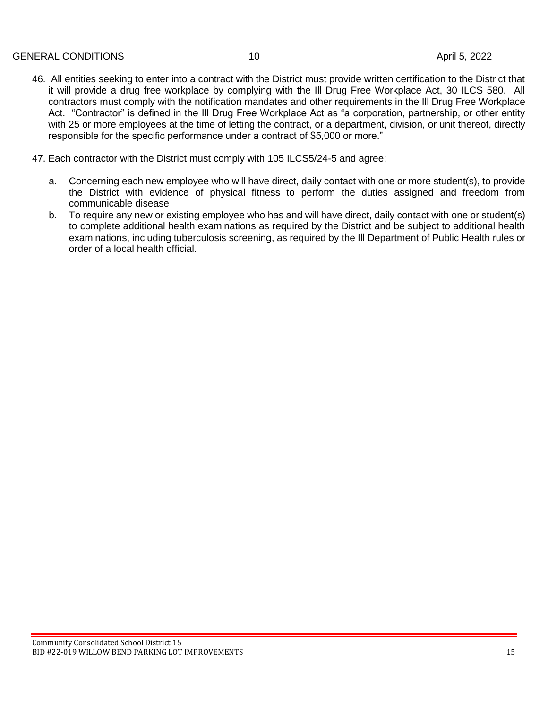- 46. All entities seeking to enter into a contract with the District must provide written certification to the District that it will provide a drug free workplace by complying with the Ill Drug Free Workplace Act, 30 ILCS 580. All contractors must comply with the notification mandates and other requirements in the Ill Drug Free Workplace Act. "Contractor" is defined in the Ill Drug Free Workplace Act as "a corporation, partnership, or other entity with 25 or more employees at the time of letting the contract, or a department, division, or unit thereof, directly responsible for the specific performance under a contract of \$5,000 or more."
- 47. Each contractor with the District must comply with 105 ILCS5/24-5 and agree:
	- a. Concerning each new employee who will have direct, daily contact with one or more student(s), to provide the District with evidence of physical fitness to perform the duties assigned and freedom from communicable disease
	- b. To require any new or existing employee who has and will have direct, daily contact with one or student(s) to complete additional health examinations as required by the District and be subject to additional health examinations, including tuberculosis screening, as required by the Ill Department of Public Health rules or order of a local health official.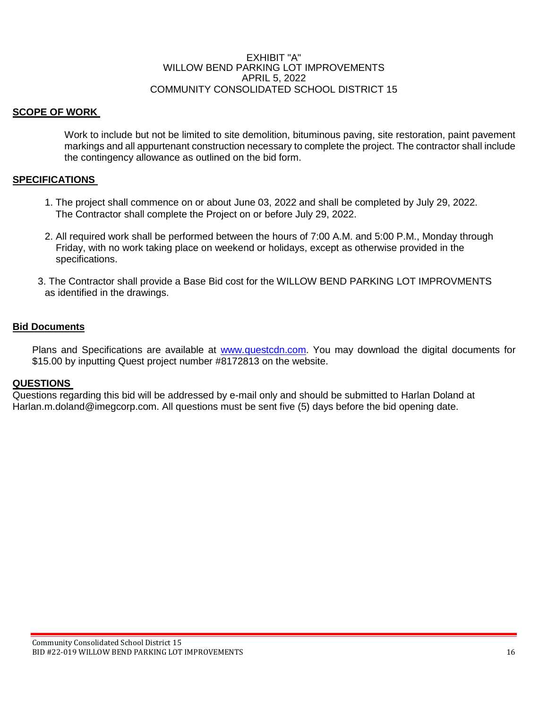#### EXHIBIT "A" WILLOW BEND PARKING LOT IMPROVEMENTS APRIL 5, 2022 COMMUNITY CONSOLIDATED SCHOOL DISTRICT 15

## **SCOPE OF WORK**

Work to include but not be limited to site demolition, bituminous paving, site restoration, paint pavement markings and all appurtenant construction necessary to complete the project. The contractor shall include the contingency allowance as outlined on the bid form.

## **SPECIFICATIONS**

- 1. The project shall commence on or about June 03, 2022 and shall be completed by July 29, 2022. The Contractor shall complete the Project on or before July 29, 2022.
- 2. All required work shall be performed between the hours of 7:00 A.M. and 5:00 P.M., Monday through Friday, with no work taking place on weekend or holidays, except as otherwise provided in the specifications.
- 3. The Contractor shall provide a Base Bid cost for the WILLOW BEND PARKING LOT IMPROVMENTS as identified in the drawings.

#### **Bid Documents**

Plans and Specifications are available at [www.questcdn.com.](http://www.questcdn.com/) You may download the digital documents for \$15.00 by inputting Quest project number #8172813 on the website.

#### **QUESTIONS**

Questions regarding this bid will be addressed by e-mail only and should be submitted to Harlan Doland at Harlan.m.doland@imegcorp.com. All questions must be sent five (5) days before the bid opening date.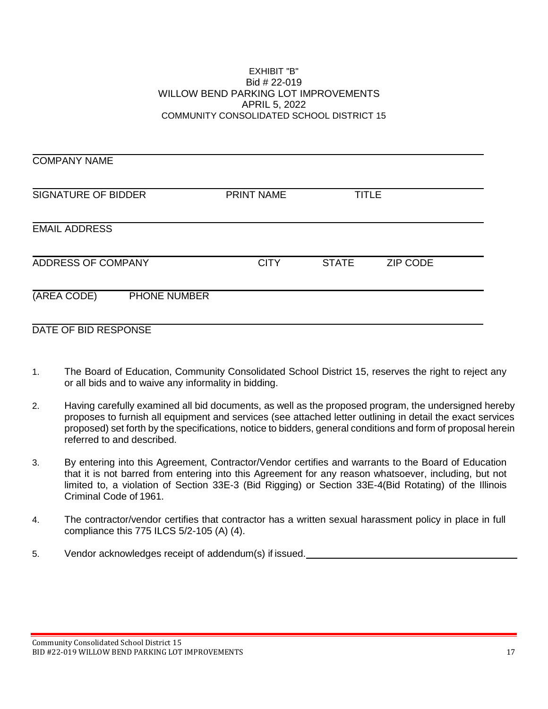#### EXHIBIT "B" Bid # 22-019 WILLOW BEND PARKING LOT IMPROVEMENTS APRIL 5, 2022 COMMUNITY CONSOLIDATED SCHOOL DISTRICT 15

COMPANY NAME SIGNATURE OF BIDDER PRINT NAME TITLE EMAIL ADDRESS ADDRESS OF COMPANY CITY STATE ZIP CODE (AREA CODE) PHONE NUMBER DATE OF BID RESPONSE

- 1. The Board of Education, Community Consolidated School District 15, reserves the right to reject any or all bids and to waive any informality in bidding.
- 2. Having carefully examined all bid documents, as well as the proposed program, the undersigned hereby proposes to furnish all equipment and services (see attached letter outlining in detail the exact services proposed) set forth by the specifications, notice to bidders, general conditions and form of proposal herein referred to and described.
- 3. By entering into this Agreement, Contractor/Vendor certifies and warrants to the Board of Education that it is not barred from entering into this Agreement for any reason whatsoever, including, but not limited to, a violation of Section 33E-3 (Bid Rigging) or Section 33E-4(Bid Rotating) of the Illinois Criminal Code of 1961.
- 4. The contractor/vendor certifies that contractor has a written sexual harassment policy in place in full compliance this 775 ILCS 5/2-105 (A) (4).
- 5. Vendor acknowledges receipt of addendum(s) if issued.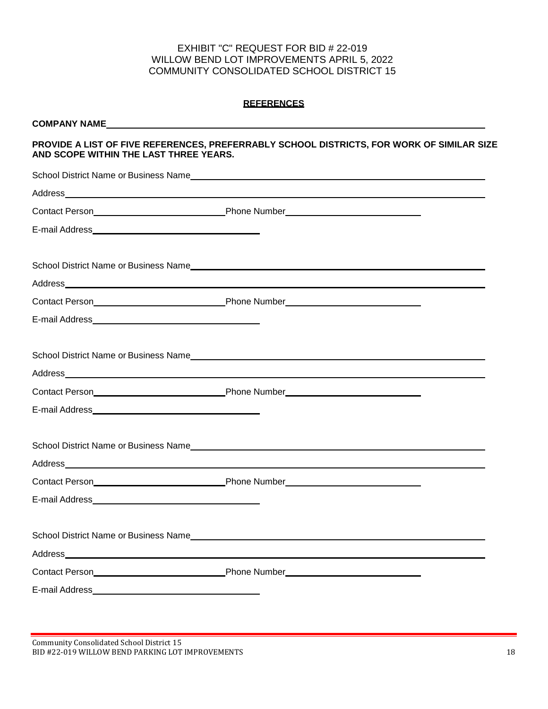## EXHIBIT "C" REQUEST FOR BID # 22-019 WILLOW BEND LOT IMPROVEMENTS APRIL 5, 2022 COMMUNITY CONSOLIDATED SCHOOL DISTRICT 15

#### **REFERENCES**

#### **COMPANY NAME**

#### **PROVIDE A LIST OF FIVE REFERENCES, PREFERRABLY SCHOOL DISTRICTS, FOR WORK OF SIMILAR SIZE AND SCOPE WITHIN THE LAST THREE YEARS.**

| School District Name or Business Name Manual And All Annual Annual Annual Annual Annual Annual Annual Annual A                                                                                                                     |
|------------------------------------------------------------------------------------------------------------------------------------------------------------------------------------------------------------------------------------|
|                                                                                                                                                                                                                                    |
|                                                                                                                                                                                                                                    |
|                                                                                                                                                                                                                                    |
|                                                                                                                                                                                                                                    |
|                                                                                                                                                                                                                                    |
| Contact Person <b>Manual Contact Person Contact Person Contact Person Contact Person Contact Person Contact Person Contact Person Contact Person Contact Person Contact Person Contact Person Contact Person Contact Person Co</b> |
|                                                                                                                                                                                                                                    |
| School District Name or Business Name                                                                                                                                                                                              |
|                                                                                                                                                                                                                                    |
|                                                                                                                                                                                                                                    |
|                                                                                                                                                                                                                                    |
| School District Name or Business Name<br>School District Name or Business Name                                                                                                                                                     |
|                                                                                                                                                                                                                                    |
|                                                                                                                                                                                                                                    |
|                                                                                                                                                                                                                                    |
|                                                                                                                                                                                                                                    |

Community Consolidated School District 15 BID #22-019 WILLOW BEND PARKING LOT IMPROVEMENTS 18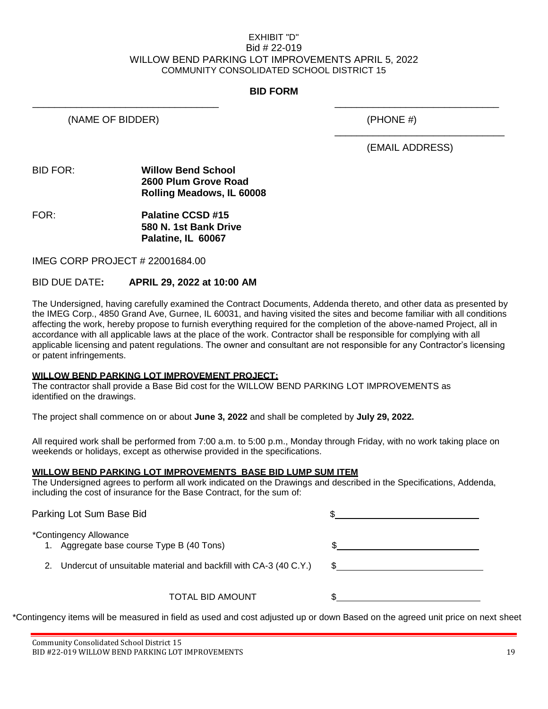#### EXHIBIT "D" Bid # 22-019 WILLOW BEND PARKING LOT IMPROVEMENTS APRIL 5, 2022 COMMUNITY CONSOLIDATED SCHOOL DISTRICT 15

## **BID FORM**

\_\_\_\_\_\_\_\_\_\_\_\_\_\_\_\_\_\_\_\_\_\_\_\_\_\_\_\_\_\_\_\_\_\_ \_\_\_\_\_\_\_\_\_\_\_\_\_\_\_\_\_\_\_\_\_\_\_\_\_\_\_\_\_\_

(NAME OF BIDDER) (PHONE #)

(EMAIL ADDRESS)

\_\_\_\_\_\_\_\_\_\_\_\_\_\_\_\_\_\_\_\_\_\_\_\_\_\_\_\_\_\_\_

#### BID FOR: **Willow Bend School 2600 Plum Grove Road Rolling Meadows, IL 60008**

FOR: **Palatine CCSD #15 580 N. 1st Bank Drive Palatine, IL 60067**

IMEG CORP PROJECT # 22001684.00

## BID DUE DATE**: APRIL 29, 2022 at 10:00 AM**

The Undersigned, having carefully examined the Contract Documents, Addenda thereto, and other data as presented by the IMEG Corp., 4850 Grand Ave, Gurnee, IL 60031, and having visited the sites and become familiar with all conditions affecting the work, hereby propose to furnish everything required for the completion of the above-named Project, all in accordance with all applicable laws at the place of the work. Contractor shall be responsible for complying with all applicable licensing and patent regulations. The owner and consultant are not responsible for any Contractor's licensing or patent infringements.

#### **WILLOW BEND PARKING LOT IMPROVEMENT PROJECT:**

The contractor shall provide a Base Bid cost for the WILLOW BEND PARKING LOT IMPROVEMENTS as identified on the drawings.

The project shall commence on or about **June 3, 2022** and shall be completed by **July 29, 2022.**

All required work shall be performed from 7:00 a.m. to 5:00 p.m., Monday through Friday, with no work taking place on weekends or holidays, except as otherwise provided in the specifications.

#### **WILLOW BEND PARKING LOT IMPROVEMENTS BASE BID LUMP SUM ITEM**

The Undersigned agrees to perform all work indicated on the Drawings and described in the Specifications, Addenda, including the cost of insurance for the Base Contract, for the sum of:

| Parking Lot Sum Base Bid                                            |                                                                     |  |
|---------------------------------------------------------------------|---------------------------------------------------------------------|--|
| *Contingency Allowance<br>1. Aggregate base course Type B (40 Tons) | 2. Undercut of unsuitable material and backfill with CA-3 (40 C.Y.) |  |
|                                                                     | TOTAL BID AMOUNT                                                    |  |

\*Contingency items will be measured in field as used and cost adjusted up or down Based on the agreed unit price on next sheet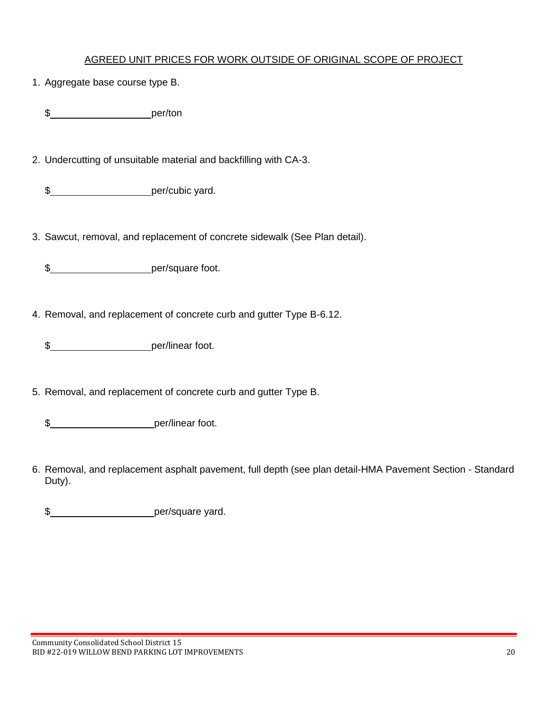## AGREED UNIT PRICES FOR WORK OUTSIDE OF ORIGINAL SCOPE OF PROJECT

1. Aggregate base course type B.

\$\_\_\_\_\_\_\_\_\_\_\_\_\_\_\_\_\_\_\_\_\_\_\_\_\_\_\_\_per/ton

2. Undercutting of unsuitable material and backfilling with CA-3.

\$\_\_\_\_\_\_\_\_\_\_\_\_\_\_\_\_\_\_\_\_\_\_\_per/cubic yard.

3. Sawcut, removal, and replacement of concrete sidewalk (See Plan detail).

\$ per/square foot.

4. Removal, and replacement of concrete curb and gutter Type B-6.12.

\$ per/linear foot.

5. Removal, and replacement of concrete curb and gutter Type B.

\$ per/linear foot.

6. Removal, and replacement asphalt pavement, full depth (see plan detail-HMA Pavement Section - Standard Duty).

\$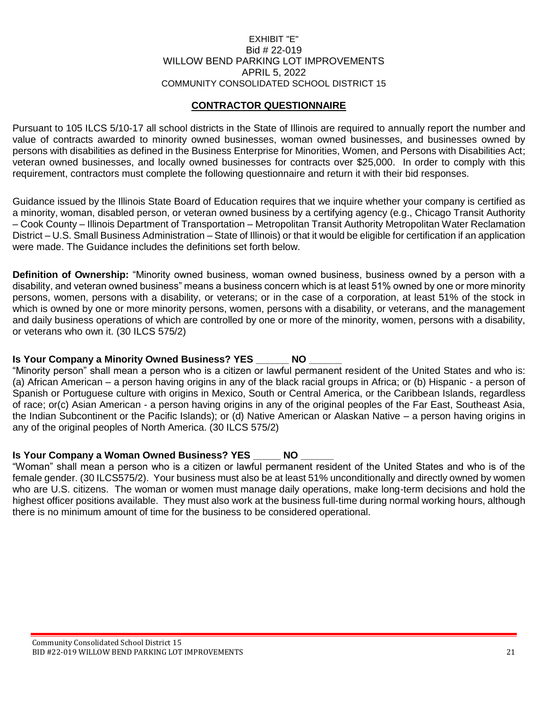### EXHIBIT "E" Bid # 22-019 WILLOW BEND PARKING LOT IMPROVEMENTS APRIL 5, 2022 COMMUNITY CONSOLIDATED SCHOOL DISTRICT 15

## **CONTRACTOR QUESTIONNAIRE**

Pursuant to 105 ILCS 5/10-17 all school districts in the State of Illinois are required to annually report the number and value of contracts awarded to minority owned businesses, woman owned businesses, and businesses owned by persons with disabilities as defined in the Business Enterprise for Minorities, Women, and Persons with Disabilities Act; veteran owned businesses, and locally owned businesses for contracts over \$25,000. In order to comply with this requirement, contractors must complete the following questionnaire and return it with their bid responses.

Guidance issued by the Illinois State Board of Education requires that we inquire whether your company is certified as a minority, woman, disabled person, or veteran owned business by a certifying agency (e.g., Chicago Transit Authority – Cook County – Illinois Department of Transportation – Metropolitan Transit Authority Metropolitan Water Reclamation District – U.S. Small Business Administration – State of Illinois) or that it would be eligible for certification if an application were made. The Guidance includes the definitions set forth below.

**Definition of Ownership:** "Minority owned business, woman owned business, business owned by a person with a disability, and veteran owned business" means a business concern which is at least 51% owned by one or more minority persons, women, persons with a disability, or veterans; or in the case of a corporation, at least 51% of the stock in which is owned by one or more minority persons, women, persons with a disability, or veterans, and the management and daily business operations of which are controlled by one or more of the minority, women, persons with a disability, or veterans who own it. (30 ILCS 575/2)

## **Is Your Company a Minority Owned Business? YES \_\_\_\_\_\_ NO \_\_\_\_\_\_**

"Minority person" shall mean a person who is a citizen or lawful permanent resident of the United States and who is: (a) African American – a person having origins in any of the black racial groups in Africa; or (b) Hispanic - a person of Spanish or Portuguese culture with origins in Mexico, South or Central America, or the Caribbean Islands, regardless of race; or(c) Asian American - a person having origins in any of the original peoples of the Far East, Southeast Asia, the Indian Subcontinent or the Pacific Islands); or (d) Native American or Alaskan Native – a person having origins in any of the original peoples of North America. (30 ILCS 575/2)

## **Is Your Company a Woman Owned Business? YES NO LACK RIGHT**

"Woman" shall mean a person who is a citizen or lawful permanent resident of the United States and who is of the female gender. (30 ILCS575/2). Your business must also be at least 51% unconditionally and directly owned by women who are U.S. citizens. The woman or women must manage daily operations, make long-term decisions and hold the highest officer positions available. They must also work at the business full-time during normal working hours, although there is no minimum amount of time for the business to be considered operational.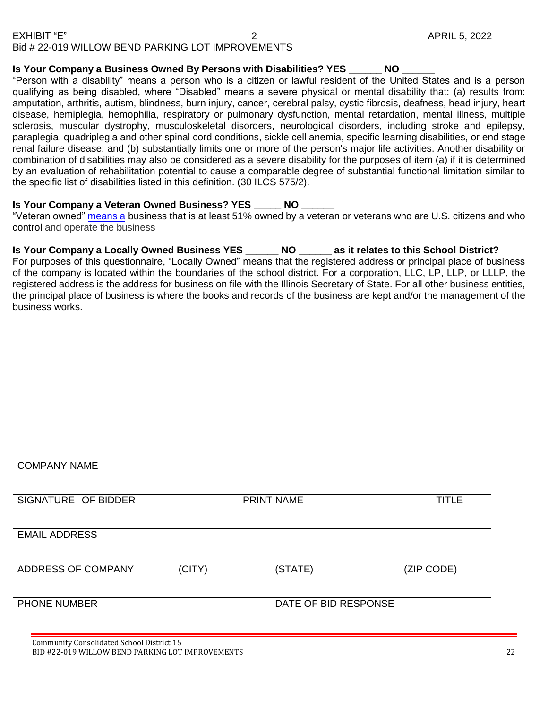## **Is Your Company a Business Owned By Persons with Disabilities? YES \_\_\_\_\_\_ NO \_\_\_\_\_\_**

"Person with a disability" means a person who is a citizen or lawful resident of the United States and is a person qualifying as being disabled, where "Disabled" means a severe physical or mental disability that: (a) results from: amputation, arthritis, autism, blindness, burn injury, cancer, cerebral palsy, cystic fibrosis, deafness, head injury, heart disease, hemiplegia, hemophilia, respiratory or pulmonary dysfunction, mental retardation, mental illness, multiple sclerosis, muscular dystrophy, musculoskeletal disorders, neurological disorders, including stroke and epilepsy, paraplegia, quadriplegia and other spinal cord conditions, sickle cell anemia, specific learning disabilities, or end stage renal failure disease; and (b) substantially limits one or more of the person's major life activities. Another disability or combination of disabilities may also be considered as a severe disability for the purposes of item (a) if it is determined by an evaluation of rehabilitation potential to cause a comparable degree of substantial functional limitation similar to the specific list of disabilities listed in this definition. (30 ILCS 575/2).

## **Is Your Company a Veteran Owned Business? YES NO LACK RIGHT**

"Veteran owned" [means a](https://www.lawinsider.com/dictionary/locally-owned-enterprise) business that is at least 51% owned by a veteran or veterans who are U.S. citizens and who control and operate the business

**Is Your Company a Locally Owned Business YES \_\_\_\_\_\_ NO \_\_\_\_\_\_ as it relates to this School District?**

For purposes of this questionnaire, "Locally Owned" means that the registered address or principal place of business of the company is located within the boundaries of the school district. For a corporation, LLC, LP, LLP, or LLLP, the registered address is the address for business on file with the Illinois Secretary of State. For all other business entities, the principal place of business is where the books and records of the business are kept and/or the management of the business works.

| <b>COMPANY NAME</b>                       |        |                      |              |
|-------------------------------------------|--------|----------------------|--------------|
| SIGNATURE OF BIDDER                       |        | <b>PRINT NAME</b>    | <b>TITLE</b> |
| <b>EMAIL ADDRESS</b>                      |        |                      |              |
| ADDRESS OF COMPANY                        | (CITY) | (STATE)              | (ZIP CODE)   |
| PHONE NUMBER                              |        | DATE OF BID RESPONSE |              |
| Community Consolidated School District 15 |        |                      |              |

BID #22-019 WILLOW BEND PARKING LOT IMPROVEMENTS 22